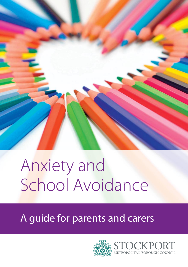

# Anxiety and School Avoidance

A guide for parents and carers

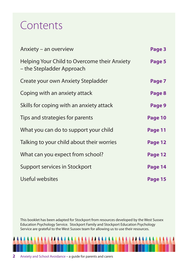### Contents

| Anxiety – an overview                                                     | Page 3  |
|---------------------------------------------------------------------------|---------|
| Helping Your Child to Overcome their Anxiety<br>- the Stepladder Approach | Page 5  |
| Create your own Anxiety Stepladder                                        | Page 7  |
| Coping with an anxiety attack                                             | Page 8  |
| Skills for coping with an anxiety attack                                  | Page 9  |
| Tips and strategies for parents                                           | Page 10 |
| What you can do to support your child                                     | Page 11 |
| Talking to your child about their worries                                 | Page 12 |
| What can you expect from school?                                          | Page 12 |
| Support services in Stockport                                             | Page 14 |
| Useful websites                                                           | Page 15 |

This booklet has been adapted for Stockport from resources developed by the West Sussex Education Psychology Service. Stockport Family and Stockport Education Psychology Service are grateful to the West Sussex team for allowing us to use their resources.

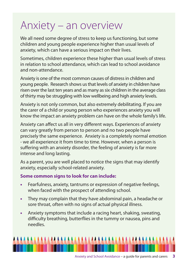### Anxiety – an overview

We all need some degree of stress to keep us functioning, but some children and young people experience higher than usual levels of anxiety, which can have a serious impact on their lives.

Sometimes, children experience these higher than usual levels of stress in relation to school attendance, which can lead to school avoidance and non-attendance.

Anxiety is one of the most common causes of distress in children and young people. Research shows us that levels of anxiety in children have risen over the last ten years and as many as six children in the average class of thirty may be struggling with low wellbeing and high anxiety levels.

Anxiety is not only common, but also extremely debilitating. If you are the carer of a child or young person who experiences anxiety you will know the impact an anxiety problem can have on the whole family's life.

Anxiety can affect us all in very different ways. Experiences of anxiety can vary greatly from person to person and no two people have precisely the same experience. Anxiety is a completely normal emotion - we all experience it from time to time. However, when a person is suffering with an anxiety disorder, the feeling of anxiety is far more intense and long lasting.

As a parent, you are well placed to notice the signs that may identify anxiety, especially school-related anxiety.

#### **Some common signs to look for can include:**

- **•** Fearfulness, anxiety, tantrums or expression of negative feelings, when faced with the prospect of attending school.
- **•** They may complain that they have abdominal pain, a headache or sore throat, often with no signs of actual physical illness.
- **•** Anxiety symptoms that include a racing heart, shaking, sweating, difficulty breathing, butterflies in the tummy or nausea, pins and needles.

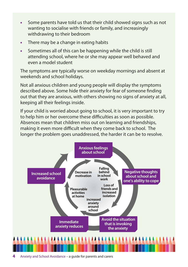- **•** Some parents have told us that their child showed signs such as not wanting to socialise with friends or family, and increasingly withdrawing to their bedroom
- **•** There may be a change in eating habits
- **•** Sometimes all of this can be happening while the child is still attending school, where he or she may appear well behaved and even a model student

The symptoms are typically worse on weekday mornings and absent at weekends and school holidays.

Not all anxious children and young people will display the symptoms described above. Some hide their anxiety for fear of someone finding out that they are anxious, with others showing no signs of anxiety at all, keeping all their feelings inside.

If your child is worried about going to school, it is very important to try to help him or her overcome these difficulties as soon as possible. Absences mean that children miss out on learning and friendships, making it even more difficult when they come back to school. The longer the problem goes unaddressed, the harder it can be to resolve.

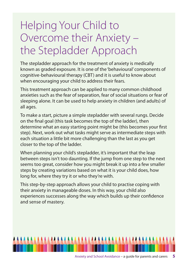## Helping Your Child to Overcome their Anxiety – the Stepladder Approach

The stepladder approach for the treatment of anxiety is medically known as graded exposure. It is one of the 'behavioural' components of cognitive-behavioural therapy (CBT) and it is useful to know about when encouraging your child to address their fears.

This treatment approach can be applied to many common childhood anxieties such as the fear of separation, fear of social situations or fear of sleeping alone. It can be used to help anxiety in children (and adults) of all ages.

To make a start, picture a simple stepladder with several rungs. Decide on the final goal (this task becomes the top of the ladder), then determine what an easy starting point might be (this becomes your first step). Next, work out what tasks might serve as intermediate steps with each situation a little bit more challenging than the last as you get closer to the top of the ladder.

When planning your child's stepladder, it's important that the leap between steps isn't too daunting. If the jump from one step to the next seems too great, consider how you might break it up into a few smaller steps by creating variations based on what it is your child does, how long for, where they try it or who they're with.

This step-by-step approach allows your child to practise coping with their anxiety in manageable doses. In this way, your child also experiences successes along the way which builds up their confidence and sense of mastery.

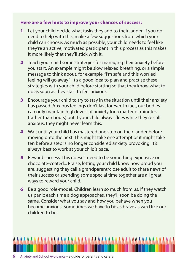#### **Here are a few hints to improve your chances of success:**

- **1** Let your child decide what tasks they add to their ladder. If you do need to help with this, make a few suggestions from which your child can choose. As much as possible, your child needs to feel like they're an active, motivated participant in this process as this makes it more likely that they'll stick with it.
- **2** Teach your child some strategies for managing their anxiety before you start. An example might be slow relaxed breathing, or a simple message to think about, for example, "I'm safe and this worried feeling will go away". It's a good idea to plan and practise these strategies with your child before starting so that they know what to do as soon as they start to feel anxious.
- **3** Encourage your child to try to stay in the situation until their anxiety has passed. Anxious feelings don't last forever. In fact, our bodies can only maintain high levels of anxiety for a matter of minutes (rather than hours) but if your child always flees while they're still anxious, they might never learn this.
- **4** Wait until your child has mastered one step on their ladder before moving onto the next. This might take one attempt or it might take ten before a step is no longer considered anxiety provoking. It's always best to work at your child's pace.
- **5** Reward success. This doesn't need to be something expensive or chocolate-coated... Praise, letting your child know how proud you are, suggesting they call a grandparent/close adult to share news of their success or spending some special time together are all great ways to reward your child.
- **6** Be a good role-model. Children learn so much from us. If they watch us panic each time a dog approaches, they'll soon be doing the same. Consider what you say and how you behave when you become anxious. Sometimes we have to be as brave as we'd like our children to be!

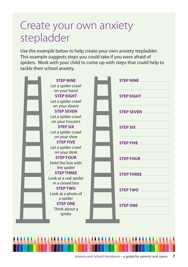### Create your own anxiety stepladder

Use the example below to help create your own anxiety stepladder. This example suggests steps you could take if you were afraid of spiders. Work with your child to come up with steps that could help to tackle their school anxiety.

**STEP NINE** Let a spider crawl on your hand **STEP EIGHT** Let a spider crawl on your sleeve **STEP SEVEN** Let a spider crawl on your trousers **STEP SIX** Let a spider crawl on your shoe **STEP FIVE** Let a spider crawl on your desk **STEP FOUR** Hold the box with the spider **STEP THREE** Look at a real spider in a closed box **STEP TWO** Look at a photo of a spider **STEP ONE** Think about a spider **STEP NINE** .................................. ......................................................... **STEP EIGHT** ............................... ......................................................... **STEP SEVEN** .............................. ......................................................... **STEP SIX** ...................................... ......................................................... **STEP FIVE** ................................... ......................................................... **STEP FOUR** ................................ ......................................................... **STEP THREE** ............................... ......................................................... **STEP TWO** .................................. ......................................................... **STEP ONE** ................................... .........................................................

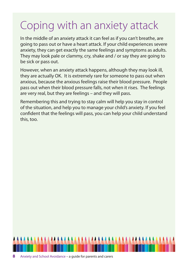# Coping with an anxiety attack

In the middle of an anxiety attack it can feel as if you can't breathe, are going to pass out or have a heart attack. If your child experiences severe anxiety, they can get exactly the same feelings and symptoms as adults. They may look pale or clammy, cry, shake and / or say they are going to be sick or pass out.

However, when an anxiety attack happens, although they may look ill, they are actually OK. It is extremely rare for someone to pass out when anxious, because the anxious feelings raise their blood pressure. People pass out when their blood pressure falls, not when it rises. The feelings are very real, but they are feelings – and they will pass.

Remembering this and trying to stay calm will help you stay in control of the situation, and help you to manage your child's anxiety. If you feel confident that the feelings will pass, you can help your child understand this, too.

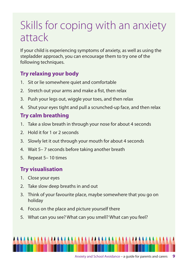### Skills for coping with an anxiety attack

If your child is experiencing symptoms of anxiety, as well as using the stepladder approach, you can encourage them to try one of the following techniques.

#### **Try relaxing your body**

- 1. Sit or lie somewhere quiet and comfortable
- 2. Stretch out your arms and make a fist, then relax
- 3. Push your legs out, wiggle your toes, and then relax
- 4. Shut your eyes tight and pull a scrunched-up face, and then relax

#### **Try calm breathing**

- 1. Take a slow breath in through your nose for about 4 seconds
- 2. Hold it for 1 or 2 seconds
- 3. Slowly let it out through your mouth for about 4 seconds
- 4. Wait 5– 7 seconds before taking another breath
- 5. Repeat 5– 10 times

### **Try visualisation**

- 1. Close your eyes
- 2. Take slow deep breaths in and out
- 3. Think of your favourite place, maybe somewhere that you go on holiday
- 4. Focus on the place and picture yourself there
- 5. What can you see? What can you smell? What can you feel?

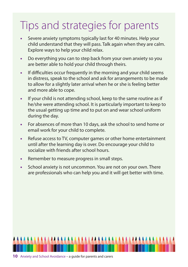## Tips and strategies for parents

- **•** Severe anxiety symptoms typically last for 40 minutes. Help your child understand that they will pass. Talk again when they are calm. Explore ways to help your child relax.
- **•** Do everything you can to step back from your own anxiety so you are better able to hold your child through theirs.
- **•** If difficulties occur frequently in the morning and your child seems in distress, speak to the school and ask for arrangements to be made to allow for a slightly later arrival when he or she is feeling better and more able to cope.
- **•** If your child is not attending school, keep to the same routine as if he/she were attending school. It is particularly important to keep to the usual getting up time and to put on and wear school uniform during the day.
- **•** For absences of more than 10 days, ask the school to send home or email work for your child to complete.
- **•** Refuse access to TV, computer games or other home entertainment until after the learning day is over. Do encourage your child to socialize with friends after school hours.
- **•** Remember to measure progress in small steps.
- **•** School anxiety is not uncommon. You are not on your own. There are professionals who can help you and it will get better with time.

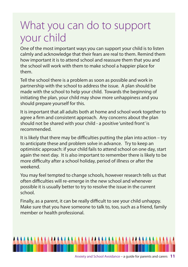### What you can do to support your child

One of the most important ways you can support your child is to listen calmly and acknowledge that their fears are real to them. Remind them how important it is to attend school and reassure them that you and the school will work with them to make school a happier place for them.

Tell the school there is a problem as soon as possible and work in partnership with the school to address the issue. A plan should be made with the school to help your child. Towards the beginning of initiating the plan, your child may show more unhappiness and you should prepare yourself for this.

It is important that all adults both at home and school work together to agree a firm and consistent approach. Any concerns about the plan should not be shared with your child - a positive 'united front' is recommended.

It is likely that there may be difficulties putting the plan into action – try to anticipate these and problem solve in advance. Try to keep an optimistic approach: if your child fails to attend school on one day, start again the next day. It is also important to remember there is likely to be more difficulty after a school holiday, period of illness or after the weekend.

You may feel tempted to change schools, however research tells us that often difficulties will re-emerge in the new school and whenever possible it is usually better to try to resolve the issue in the current school.

Finally, as a parent, it can be really difficult to see your child unhappy. Make sure that you have someone to talk to, too, such as a friend, family member or health professional.

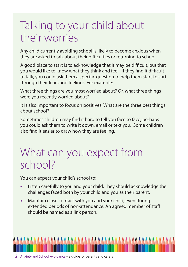### Talking to your child about their worries

Any child currently avoiding school is likely to become anxious when they are asked to talk about their difficulties or returning to school.

A good place to start is to acknowledge that it may be difficult, but that you would like to know what they think and feel. If they find it difficult to talk, you could ask them a specific question to help them start to sort through their fears and feelings. For example:

What three things are you most worried about? Or, what three things were you recently worried about?

It is also important to focus on positives: What are the three best things about school?

Sometimes children may find it hard to tell you face to face, perhaps you could ask them to write it down, email or text you. Some children also find it easier to draw how they are feeling.

### What can you expect from school?

You can expect your child's school to:

- **•** Listen carefully to you and your child. They should acknowledge the challenges faced both by your child and you as their parent.
- **•** Maintain close contact with you and your child, even during extended periods of non-attendance. An agreed member of staff should be named as a link person.

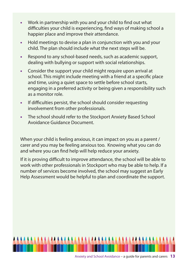- **•** Work in partnership with you and your child to find out what difficulties your child is experiencing, find ways of making school a happier place and improve their attendance.
- **•** Hold meetings to devise a plan in conjunction with you and your child. The plan should include what the next steps will be.
- **•** Respond to any school-based needs, such as academic support, dealing with bullying or support with social relationships.
- **•** Consider the support your child might require upon arrival at school. This might include meeting with a friend at a specific place and time, using a quiet space to settle before school starts, engaging in a preferred activity or being given a responsibility such as a monitor role.
- **•** If difficulties persist, the school should consider requesting involvement from other professionals.
- **•** The school should refer to the Stockport Anxiety Based School Avoidance Guidance Document.

When your child is feeling anxious, it can impact on you as a parent / carer and you may be feeling anxious too. Knowing what you can do and where you can find help will help reduce your anxiety.

If it is proving difficult to improve attendance, the school will be able to work with other professionals in Stockport who may be able to help. If a number of services become involved, the school may suggest an Early Help Assessment would be helpful to plan and coordinate the support.

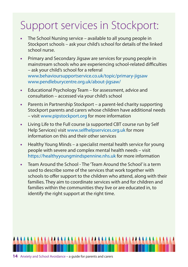## Support services in Stockport:

- **•** The School Nursing service available to all young people in Stockport schools – ask your child's school for details of the linked school nurse.
- **•** Primary and Secondary Jigsaw are services for young people in mainstream schools who are experiencing school-related difficulties – ask your child's school for a referral www.behavioursupportservice.co.uk/topic/primary-jigsaw www.pendleburycentre.org.uk/about-jigsaw/
- **•** Educational Psychology Team for assessment, advice and consultation – accessed via your child's school
- **•** Parents in Partnership Stockport a parent-led charity supporting Stockport parents and carers whose children have additional needs – visit www.pipstockport.org for more information
- **•** Living Life to the Full course (a supported CBT course run by Self Help Services) visit www.selfhelpservices.org.uk for more information on this and their other services
- **•** Healthy Young Minds a specialist mental health service for young people with severe and complex mental health needs – visit https://healthyyoungmindspennine.nhs.uk for more information
- **•** Team Around the School The 'Team Around the School' is a term used to describe some of the services that work together with schools to offer support to the children who attend, along with their families. They aim to coordinate services with and for children and families within the communities they live or are educated in, to identify the right support at the right time.

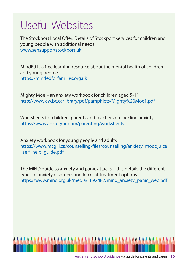### Useful Websites

The Stockport Local Offer: Details of Stockport services for children and young people with additional needs www.sensupportstockport.uk

MindEd is a free learning resource about the mental health of children and young people https://mindedforfamilies.org.uk

Mighty Moe - an anxiety workbook for children aged 5-11 http://www.cw.bc.ca/library/pdf/pamphlets/Mighty%20Moe1.pdf

Worksheets for children, parents and teachers on tackling anxiety https://www.anxietybc.com/parenting/worksheets

Anxiety workbook for young people and adults https://www.mcgill.ca/counselling/files/counselling/anxiety\_moodjuice self help quide.pdf

The MIND guide to anxiety and panic attacks – this details the different types of anxiety disorders and looks at treatment options https://www.mind.org.uk/media/1892482/mind\_anxiety\_panic\_web.pdf